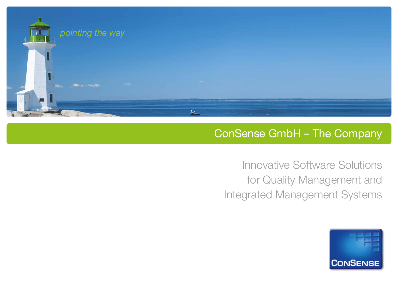

## ConSense GmbH – The Company

Innovative Software Solutions for Quality Management and Integrated Management Systems

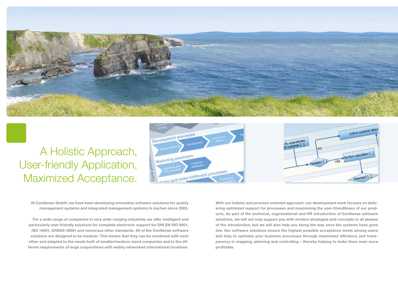

## A Holistic Approach, User-friendly Application, Maximized Acceptance.





**At ConSense GmbH, we have been developing innovative software solutions for quality management systems and integrated management systems in Aachen since 2003.**

**For a wide range of companies in very wide-ranging industries we offer intelligent and particularly user-friendly solutions for complete electronic support for DIN EN ISO 9001, ISO 14001, OHSAS 18001 and numerous other standards. All of the ConSense software solutions are designed to be modular. This means that they can be combined with each other and adapted to the needs both of smaller/medium-sized companies and to the different requirements of large corporations with widely networked international locations.**

**With our holistic and process-oriented approach, our development work focuses on delivering optimized support for processes and maximizing the user-friendliness of our products. As part of the technical, organizational and HR introduction of ConSense software solutions, we will not only support you with modern strategies and concepts in all phases of the introduction, but we will also help you along the way once the systems have gone live. Our software solutions ensure the highest possible acceptance levels among users and help to optimize your business processes through maximized efficiency and transparency in mapping, planning and controlling – thereby helping to make them even more profitable.**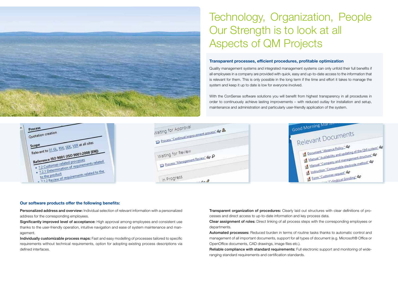## Technology, Organization, People Our Strength is to look at all Aspects of QM Projects

#### **Transparent processes, efficient procedures, profitable optimization**

Quality management systems and integrated management systems can only unfold their full benefits if all employees in a company are provided with quick, easy and up-to-date access to the information that is relevant for them. This is only possible in the long term if the time and effort it takes to manage the system and keep it up to date is low for everyone involved.

With the ConSense software solutions you will benefit from highest transparency in all procedures in order to continuously achieve lasting improvements – with reduced outlay for installation and setup, maintenance and administration and particularly user-friendly application of the system.







#### **Our software products offer the following benefits:**

Personalized address and overview: Individual selection of relevant information with a personalized address for the corresponding employees.

Significantly improved level of acceptance: High approval among employees and consistent use thanks to the user-friendly operation, intuitive navigation and ease of system maintenance and management.

Individually customizable process maps: Fast and easy modelling of processes tailored to specific requirements without technical requirements, option for adopting existing process descriptions via defined interfaces.

Transparent organization of procedures: Clearly laid out structures with clear definitions of processes and direct access to up-to-date information and key process data.

Clear assignment of roles: Direct linking of all process steps with the corresponding employees or departments.

Automated processes: Reduced burden in terms of routine tasks thanks to automatic control and management of all important documents, support for all types of document (e.g. Microsoft® Office or OpenOffice documents, CAD drawings, image files etc.).

Reliable compliance with standard requirements: Full electronic support and monitoring of wideranging standard requirements and certification standards.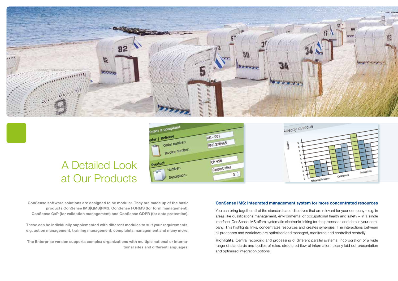

# A Detailed Look at Our Products





**ConSense software solutions are designed to be modular. They are made up of the basic products ConSense IMS|QMS|PMS, ConSense FORMS (for form management), ConSense GxP (for validation management) and ConSense GDPR (for data protection).**

**These can be individually supplemented with different modules to suit your requirements, e.g. action management, training management, complaints management and many more.**

**The Enterprise version supports complex organizations with multiple national or international sites and different languages.**

#### **ConSense IMS: Integrated management system for more concentrated resources**

You can bring together all of the standards and directives that are relevant for your company – e.g. in areas like qualifications management, environmental or occupational health and safety – in a single interface: ConSense IMS offers systematic electronic linking for the processes and data in your company. This highlights links, concentrates resources and creates synergies: The interactions between all processes and workflows are optimized and managed, monitored and controlled centrally.

Highlights: Central recording and processing of different parallel systems, incorporation of a wide range of standards and bodies of rules, structured flow of information, clearly laid out presentation and optimized integration options.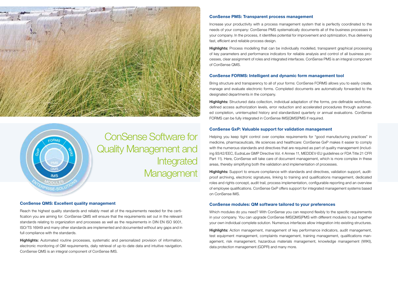



ConSense Software for Quality Management and Integrated **Management** 

#### **ConSense QMS: Excellent quality management**

Reach the highest quality standards and reliably meet all of the requirements needed for the certification you are aiming for: ConSense QMS will ensure that the requirements set out in the relevant standards relating to organization and processes as well as the requirements in DIN EN ISO 9001, ISO/TS 16949 and many other standards are implemented and documented without any gaps and in full compliance with the standards.

Highlights: Automated routine processes, systematic and personalized provision of information, electronic monitoring of QM requirements, daily retrieval of up-to-date data and intuitive navigation. ConSense QMS is an integral component of ConSense IMS.

#### **ConSense PMS: Transparent process management**

Increase your productivity with a process management system that is perfectly coordinated to the needs of your company: ConSense PMS systematically documents all of the business processes in your company. In the process, it identifies potential for improvement and optimization, thus delivering fast, efficient and reliable process design.

**Highlights:** Process modelling that can be individually modelled, transparent graphical processing of key parameters and performance indicators for reliable analysis and control of all business processes, clear assignment of roles and integrated interfaces. ConSense PMS is an integral component of ConSense QMS.

#### **ConSense FORMS: Intelligent and dynamic form management tool**

Bring structure and transparency to all of your forms: ConSense FORMS allows you to easily create, manage and evaluate electronic forms. Completed documents are automatically forwarded to the designated departments in the company.

Highlights: Structured data collection, individual adaptation of the forms, pre-definable workflows, defined access authorization levels, error reduction and accelerated procedures through automated completion, uninterrupted history and standardized quarterly or annual evaluations. ConSense FORMS can be fully integrated in ConSense IMS|QMS|PMS if required.

#### **ConSense GxP: Valuable support for validation management**

Helping you keep tight control over complex requirements for "good manufacturing practices" in medicine, pharmaceuticals, life sciences and healthcare: ConSense GxP makes it easier to comply with the numerous standards and directives that are required as part of quality management (including 93/42/EEC, EudraLex GMP Directive Vol. 4 Annex 11, MEDDEV-EU guidelines or FDA Title 21 CFR Part 11). Here, ConSense will take care of document management, which is more complex in these areas, thereby simplifying both the validation and implementation of processes.

Highlights: Support to ensure compliance with standards and directives, validation support, auditproof archiving, electronic signatures, linking to training and qualifications management, dedicated roles and rights concept, audit trail, process implementation, configurable reporting and an overview of employee qualifications. ConSense GxP offers support for integrated management systems based on ConSense IMS.

#### **ConSense modules: QM software tailored to your preferences**

Which modules do you need? With ConSense you can respond flexibly to the specific requirements in your company. You can upgrade ConSense IMS|QMS|PMS with different modules to put together your own individual complete solution. Numerous interfaces allow integration into existing structures.

Highlights: Action management, management of key performance indicators, audit management, test equipment management, complaints management, training management, qualifications management, risk management, hazardous materials management, knowledge management (WIKI), data protection management (GDPR) and many more.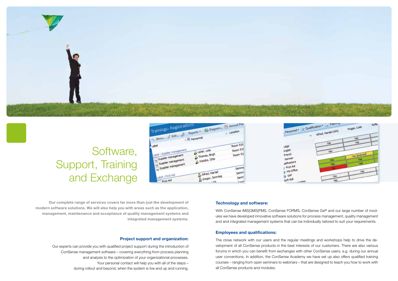

## Software, Support, Training and Exchange





**Our complete range of services covers far more than just the development of modern software solutions. We will also help you with areas such as the application, management, maintenance and acceptance of quality management systems and integrated management systems.**

#### **Project support and organization:**

Our experts can provide you with qualified project support during the introduction of ConSense management software – covering everything from process planning and analysis to the optimization of your organizational processes. Your personal contact will help you with all of the steps – during rollout and beyond, when the system is live and up and running.

#### **Technology and software:**

With ConSense IMS|QMS|PMS, ConSense FORMS, ConSense GxP and our large number of modules we have developed innovative software solutions for process management, quality management and and integrated management systems that can be individually tailored to suit your requirements.

#### **Employees and qualifications:**

The close network with our users and the regular meetings and workshops help to drive the development of all ConSense products in the best interests of our customers. There are also various forums in which you can benefit from exchanges with other ConSense users, e.g. during our annual user conventions. In addition, the ConSense Academy we have set up also offers qualified training courses – ranging from open seminars to webinars – that are designed to teach you how to work with all ConSense products and modules.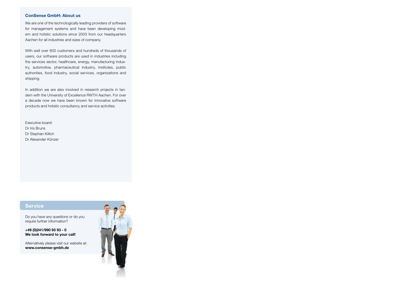#### **ConSense GmbH: About us**

We are one of the technologically leading providers of software for management systems and have been developing modern and holistic solutions since 2003 from our headquarters Aachen for all industries and sizes of company.

With well over 600 customers and hundreds of thousands of users, our software products are used in industries including the services sector, healthcare, energy, manufacturing industry, automotive, pharmaceutical industry, institutes, public authorities, food industry, social services, organizations and shipping.

In addition we are also involved in research projects in tandem with the University of Excellence RWTH Aachen. For over a decade now we have been known for innovative software products and holistic consultancy and service activities.

Executive board: Dr Iris Bruns Dr Stephan Killich Dr Alexander Künzer

### **Service**

Do you have any questions or do you require further information?

**+49 (0)241/990 93 93 - 0 We look forward to your call!**

Alternatively please visit our website at: **www.consense-gmbh.de**